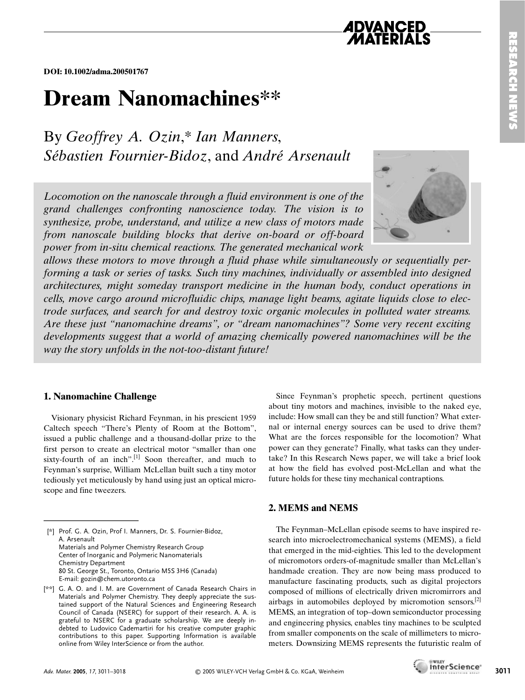



**DOI: 10.1002/adma.200501767**

# **Dream Nanomachines\*\***

By *Geoffrey A. Ozin*,\* *Ian Manners*, *Sébastien Fournier-Bidoz*, and *André Arsenault*

*Locomotion on the nanoscale through a fluid environment is one of the grand challenges confronting nanoscience today. The vision is to synthesize, probe, understand, and utilize a new class of motors made from nanoscale building blocks that derive on-board or off-board power from in-situ chemical reactions. The generated mechanical work*



*allows these motors to move through a fluid phase while simultaneously or sequentially performing a task or series of tasks. Such tiny machines, individually or assembled into designed architectures, might someday transport medicine in the human body, conduct operations in cells, move cargo around microfluidic chips, manage light beams, agitate liquids close to electrode surfaces, and search for and destroy toxic organic molecules in polluted water streams. Are these just "nanomachine dreams", or "dream nanomachines"? Some very recent exciting developments suggest that a world of amazing chemically powered nanomachines will be the way the story unfolds in the not-too-distant future!*

#### **1. Nanomachine Challenge**

Visionary physicist Richard Feynman, in his prescient 1959 Caltech speech "There's Plenty of Room at the Bottom", issued a public challenge and a thousand-dollar prize to the first person to create an electrical motor "smaller than one sixty-fourth of an inch".<sup>[1]</sup> Soon thereafter, and much to Feynman's surprise, William McLellan built such a tiny motor tediously yet meticulously by hand using just an optical microscope and fine tweezers. **1. Nanomachine Challe**<br>
Visionary physicist Richa<br>
Caltech speech "There's F<br>
issued a public challenge a<br>
first person to create an el<br>
sixty-fourth of an inch".<sup>[1</sup><br>
Feynman's surprise, William<br>
tediously yet meticulou

[\*] Prof. G. A. Ozin, Prof I. Manners, Dr. S. Fournier-Bidoz, A. Arsenault Materials and Polymer Chemistry Research Group Center of Inorganic and Polymeric Nanomaterials Chemistry Department 80 St. George St., Toronto, Ontario M5S 3H6 (Canada) E-mail: gozin@chem.utoronto.ca

[\*\*] G. A. O. and I. M. are Government of Canada Research Chairs in Materials and Polymer Chemistry. They deeply appreciate the sustained support of the Natural Sciences and Engineering Research Council of Canada (NSERC) for support of their research. A. A. is grateful to NSERC for a graduate scholarship. We are deeply indebted to Ludovico Cademartiri for his creative computer graphic contributions to this paper. Supporting Information is available online from Wiley InterScience or from the author.

Since Feynman's prophetic speech, pertinent questions about tiny motors and machines, invisible to the naked eye, include: How small can they be and still function? What external or internal energy sources can be used to drive them? What are the forces responsible for the locomotion? What power can they generate? Finally, what tasks can they undertake? In this Research News paper, we will take a brief look at how the field has evolved post-McLellan and what the future holds for these tiny mechanical contraptions.

# **2. MEMS and NEMS**

The Feynman–McLellan episode seems to have inspired research into microelectromechanical systems (MEMS), a field that emerged in the mid-eighties. This led to the development of micromotors orders-of-magnitude smaller than McLellan's handmade creation. They are now being mass produced to manufacture fascinating products, such as digital projectors composed of millions of electrically driven micromirrors and airbags in automobiles deployed by micromotion sensors.<sup>[2]</sup> MEMS, an integration of top–down semiconductor processing and engineering physics, enables tiny machines to be sculpted from smaller components on the scale of millimeters to micrometers. Downsizing MEMS represents the futuristic realm of

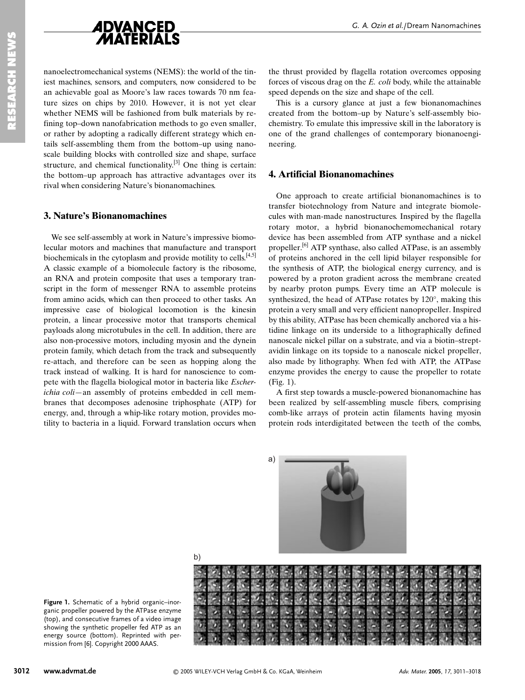

nanoelectromechanical systems (NEMS): the world of the tiniest machines, sensors, and computers, now considered to be an achievable goal as Moore's law races towards 70 nm feature sizes on chips by 2010. However, it is not yet clear whether NEMS will be fashioned from bulk materials by refining top–down nanofabrication methods to go even smaller, or rather by adopting a radically different strategy which entails self-assembling them from the bottom–up using nanoscale building blocks with controlled size and shape, surface structure, and chemical functionality.<sup>[3]</sup> One thing is certain: the bottom–up approach has attractive advantages over its rival when considering Nature's bionanomachines.

#### **3. Nature's Bionanomachines**

We see self-assembly at work in Nature's impressive biomolecular motors and machines that manufacture and transport biochemicals in the cytoplasm and provide motility to cells.<sup>[4,5]</sup> A classic example of a biomolecule factory is the ribosome, an RNA and protein composite that uses a temporary transcript in the form of messenger RNA to assemble proteins from amino acids, which can then proceed to other tasks. An impressive case of biological locomotion is the kinesin protein, a linear processive motor that transports chemical payloads along microtubules in the cell. In addition, there are also non-processive motors, including myosin and the dynein protein family, which detach from the track and subsequently re-attach, and therefore can be seen as hopping along the track instead of walking. It is hard for nanoscience to compete with the flagella biological motor in bacteria like *Escherichia coli*—an assembly of proteins embedded in cell membranes that decomposes adenosine triphosphate (ATP) for energy, and, through a whip-like rotary motion, provides motility to bacteria in a liquid. Forward translation occurs when

the thrust provided by flagella rotation overcomes opposing forces of viscous drag on the *E. coli* body, while the attainable speed depends on the size and shape of the cell.

This is a cursory glance at just a few bionanomachines created from the bottom–up by Nature's self-assembly biochemistry. To emulate this impressive skill in the laboratory is one of the grand challenges of contemporary bionanoengineering.

#### **4. Artificial Bionanomachines**

One approach to create artificial bionanomachines is to transfer biotechnology from Nature and integrate biomolecules with man-made nanostructures. Inspired by the flagella rotary motor, a hybrid bionanochemomechanical rotary device has been assembled from ATP synthase and a nickel propeller.<sup>[6]</sup> ATP synthase, also called ATPase, is an assembly of proteins anchored in the cell lipid bilayer responsible for the synthesis of ATP, the biological energy currency, and is powered by a proton gradient across the membrane created by nearby proton pumps. Every time an ATP molecule is synthesized, the head of ATPase rotates by 120°, making this protein a very small and very efficient nanopropeller. Inspired by this ability, ATPase has been chemically anchored via a histidine linkage on its underside to a lithographically defined nanoscale nickel pillar on a substrate, and via a biotin–streptavidin linkage on its topside to a nanoscale nickel propeller, also made by lithography. When fed with ATP, the ATPase enzyme provides the energy to cause the propeller to rotate (Fig. 1).

A first step towards a muscle-powered bionanomachine has been realized by self-assembling muscle fibers, comprising comb-like arrays of protein actin filaments having myosin protein rods interdigitated between the teeth of the combs,



b)



**Figure 1.** Schematic of a hybrid organic–inorganic propeller powered by the ATPase enzyme (top), and consecutive frames of a video image showing the synthetic propeller fed ATP as an energy source (bottom). Reprinted with permission from [6]. Copyright 2000 AAAS.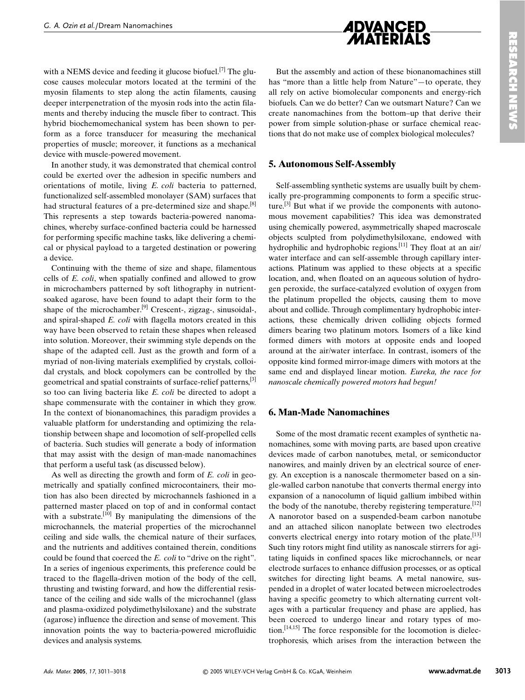

with a NEMS device and feeding it glucose biofuel.<sup>[7]</sup> The glucose causes molecular motors located at the termini of the myosin filaments to step along the actin filaments, causing deeper interpenetration of the myosin rods into the actin filaments and thereby inducing the muscle fiber to contract. This hybrid biochemomechanical system has been shown to perform as a force transducer for measuring the mechanical properties of muscle; moreover, it functions as a mechanical device with muscle-powered movement.

In another study, it was demonstrated that chemical control could be exerted over the adhesion in specific numbers and orientations of motile, living *E. coli* bacteria to patterned, functionalized self-assembled monolayer (SAM) surfaces that had structural features of a pre-determined size and shape.<sup>[8]</sup> This represents a step towards bacteria-powered nanomachines, whereby surface-confined bacteria could be harnessed for performing specific machine tasks, like delivering a chemical or physical payload to a targeted destination or powering a device.

Continuing with the theme of size and shape, filamentous cells of *E. coli*, when spatially confined and allowed to grow in microchambers patterned by soft lithography in nutrientsoaked agarose, have been found to adapt their form to the shape of the microchamber.<sup>[9]</sup> Crescent-, zigzag-, sinusoidal-, and spiral-shaped *E. coli* with flagella motors created in this way have been observed to retain these shapes when released into solution. Moreover, their swimming style depends on the shape of the adapted cell. Just as the growth and form of a myriad of non-living materials exemplified by crystals, colloidal crystals, and block copolymers can be controlled by the geometrical and spatial constraints of surface-relief patterns,<sup>[3]</sup> so too can living bacteria like *E. coli* be directed to adopt a shape commensurate with the container in which they grow. In the context of bionanomachines, this paradigm provides a valuable platform for understanding and optimizing the relationship between shape and locomotion of self-propelled cells of bacteria. Such studies will generate a body of information that may assist with the design of man-made nanomachines that perform a useful task (as discussed below).

As well as directing the growth and form of *E. coli* in geometrically and spatially confined microcontainers, their motion has also been directed by microchannels fashioned in a patterned master placed on top of and in conformal contact with a substrate.<sup>[10]</sup> By manipulating the dimensions of the microchannels, the material properties of the microchannel ceiling and side walls, the chemical nature of their surfaces, and the nutrients and additives contained therein, conditions could be found that coerced the *E. coli* to "drive on the right". In a series of ingenious experiments, this preference could be traced to the flagella-driven motion of the body of the cell, thrusting and twisting forward, and how the differential resistance of the ceiling and side walls of the microchannel (glass and plasma-oxidized polydimethylsiloxane) and the substrate (agarose) influence the direction and sense of movement. This innovation points the way to bacteria-powered microfluidic devices and analysis systems.

But the assembly and action of these bionanomachines still has "more than a little help from Nature"—to operate, they all rely on active biomolecular components and energy-rich biofuels. Can we do better? Can we outsmart Nature? Can we create nanomachines from the bottom–up that derive their power from simple solution-phase or surface chemical reactions that do not make use of complex biological molecules?

#### **5. Autonomous Self-Assembly**

Self-assembling synthetic systems are usually built by chemically pre-programming components to form a specific structure.[3] But what if we provide the components with autonomous movement capabilities? This idea was demonstrated using chemically powered, asymmetrically shaped macroscale objects sculpted from polydimethylsiloxane, endowed with hydrophilic and hydrophobic regions.<sup>[11]</sup> They float at an air/ water interface and can self-assemble through capillary interactions. Platinum was applied to these objects at a specific location, and, when floated on an aqueous solution of hydrogen peroxide, the surface-catalyzed evolution of oxygen from the platinum propelled the objects, causing them to move about and collide. Through complimentary hydrophobic interactions, these chemically driven colliding objects formed dimers bearing two platinum motors. Isomers of a like kind formed dimers with motors at opposite ends and looped around at the air/water interface. In contrast, isomers of the opposite kind formed mirror-image dimers with motors at the same end and displayed linear motion. *Eureka, the race for nanoscale chemically powered motors had begun!*

### **6. Man-Made Nanomachines**

Some of the most dramatic recent examples of synthetic nanomachines, some with moving parts, are based upon creative devices made of carbon nanotubes, metal, or semiconductor nanowires, and mainly driven by an electrical source of energy. An exception is a nanoscale thermometer based on a single-walled carbon nanotube that converts thermal energy into expansion of a nanocolumn of liquid gallium imbibed within the body of the nanotube, thereby registering temperature.<sup>[12]</sup> A nanorotor based on a suspended-beam carbon nanotube and an attached silicon nanoplate between two electrodes converts electrical energy into rotary motion of the plate.<sup>[13]</sup> Such tiny rotors might find utility as nanoscale stirrers for agitating liquids in confined spaces like microchannels, or near electrode surfaces to enhance diffusion processes, or as optical switches for directing light beams. A metal nanowire, suspended in a droplet of water located between microelectrodes having a specific geometry to which alternating current voltages with a particular frequency and phase are applied, has been coerced to undergo linear and rotary types of motion. $[14,15]$  The force responsible for the locomotion is dielectrophoresis, which arises from the interaction between the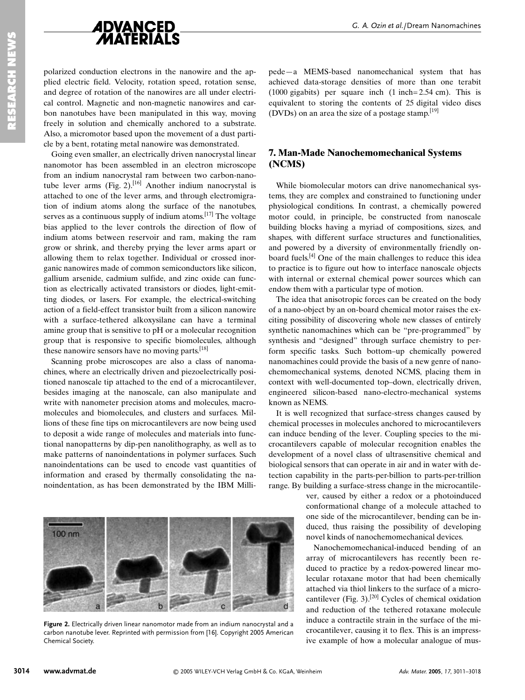

polarized conduction electrons in the nanowire and the applied electric field. Velocity, rotation speed, rotation sense, and degree of rotation of the nanowires are all under electrical control. Magnetic and non-magnetic nanowires and carbon nanotubes have been manipulated in this way, moving freely in solution and chemically anchored to a substrate. Also, a micromotor based upon the movement of a dust particle by a bent, rotating metal nanowire was demonstrated.

Going even smaller, an electrically driven nanocrystal linear nanomotor has been assembled in an electron microscope from an indium nanocrystal ram between two carbon-nanotube lever arms  $(Fig. 2)$ .<sup>[16]</sup> Another indium nanocrystal is attached to one of the lever arms, and through electromigration of indium atoms along the surface of the nanotubes, serves as a continuous supply of indium atoms.<sup>[17]</sup> The voltage bias applied to the lever controls the direction of flow of indium atoms between reservoir and ram, making the ram grow or shrink, and thereby prying the lever arms apart or allowing them to relax together. Individual or crossed inorganic nanowires made of common semiconductors like silicon, gallium arsenide, cadmium sulfide, and zinc oxide can function as electrically activated transistors or diodes, light-emitting diodes, or lasers. For example, the electrical-switching action of a field-effect transistor built from a silicon nanowire with a surface-tethered alkoxysilane can have a terminal amine group that is sensitive to pH or a molecular recognition group that is responsive to specific biomolecules, although these nanowire sensors have no moving parts.<sup>[18]</sup>

Scanning probe microscopes are also a class of nanomachines, where an electrically driven and piezoelectrically positioned nanoscale tip attached to the end of a microcantilever, besides imaging at the nanoscale, can also manipulate and write with nanometer precision atoms and molecules, macromolecules and biomolecules, and clusters and surfaces. Millions of these fine tips on microcantilevers are now being used to deposit a wide range of molecules and materials into functional nanopatterns by dip-pen nanolithography, as well as to make patterns of nanoindentations in polymer surfaces. Such nanoindentations can be used to encode vast quantities of information and erased by thermally consolidating the nanoindentation, as has been demonstrated by the IBM Milli-



**Figure 2.** Electrically driven linear nanomotor made from an indium nanocrystal and a carbon nanotube lever. Reprinted with permission from [16]. Copyright 2005 American Chemical Society.

pede—a MEMS-based nanomechanical system that has achieved data-storage densities of more than one terabit (1000 gigabits) per square inch (1 inch= 2.54 cm). This is equivalent to storing the contents of 25 digital video discs (DVDs) on an area the size of a postage stamp.[19]

## **7. Man-Made Nanochemomechanical Systems (NCMS)**

While biomolecular motors can drive nanomechanical systems, they are complex and constrained to functioning under physiological conditions. In contrast, a chemically powered motor could, in principle, be constructed from nanoscale building blocks having a myriad of compositions, sizes, and shapes, with different surface structures and functionalities, and powered by a diversity of environmentally friendly onboard fuels.<sup>[4]</sup> One of the main challenges to reduce this idea to practice is to figure out how to interface nanoscale objects with internal or external chemical power sources which can endow them with a particular type of motion.

The idea that anisotropic forces can be created on the body of a nano-object by an on-board chemical motor raises the exciting possibility of discovering whole new classes of entirely synthetic nanomachines which can be "pre-programmed" by synthesis and "designed" through surface chemistry to perform specific tasks. Such bottom–up chemically powered nanomachines could provide the basis of a new genre of nanochemomechanical systems, denoted NCMS, placing them in context with well-documented top–down, electrically driven, engineered silicon-based nano-electro-mechanical systems known as NEMS.

It is well recognized that surface-stress changes caused by chemical processes in molecules anchored to microcantilevers can induce bending of the lever. Coupling species to the microcantilevers capable of molecular recognition enables the development of a novel class of ultrasensitive chemical and biological sensors that can operate in air and in water with detection capability in the parts-per-billion to parts-per-trillion range. By building a surface-stress change in the microcantile-

> ver, caused by either a redox or a photoinduced conformational change of a molecule attached to one side of the microcantilever, bending can be induced, thus raising the possibility of developing novel kinds of nanochemomechanical devices.

> Nanochemomechanical-induced bending of an array of microcantilevers has recently been reduced to practice by a redox-powered linear molecular rotaxane motor that had been chemically attached via thiol linkers to the surface of a microcantilever (Fig. 3).<sup>[20]</sup> Cycles of chemical oxidation and reduction of the tethered rotaxane molecule induce a contractile strain in the surface of the microcantilever, causing it to flex. This is an impressive example of how a molecular analogue of mus-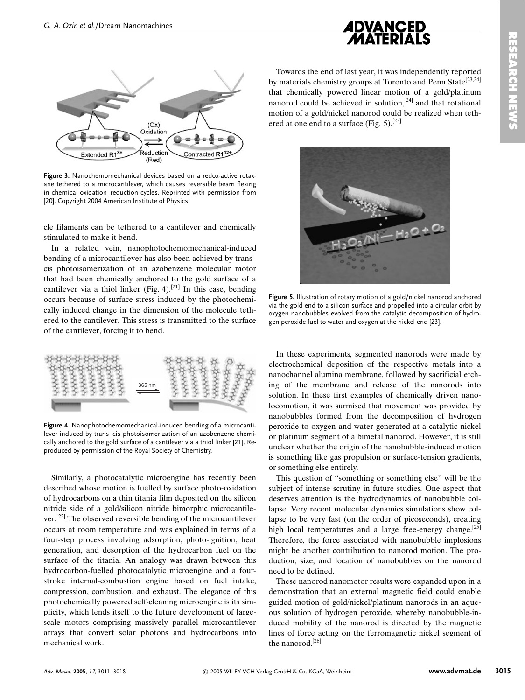



**Figure 3.** Nanochemomechanical devices based on a redox-active rotaxane tethered to a microcantilever, which causes reversible beam flexing in chemical oxidation–reduction cycles. Reprinted with permission from [20]. Copyright 2004 American Institute of Physics.

cle filaments can be tethered to a cantilever and chemically stimulated to make it bend.

In a related vein, nanophotochemomechanical-induced bending of a microcantilever has also been achieved by trans– cis photoisomerization of an azobenzene molecular motor that had been chemically anchored to the gold surface of a cantilever via a thiol linker (Fig. 4).<sup>[21]</sup> In this case, bending occurs because of surface stress induced by the photochemically induced change in the dimension of the molecule tethered to the cantilever. This stress is transmitted to the surface of the cantilever, forcing it to bend.



**Figure 4.** Nanophotochemomechanical-induced bending of a microcantilever induced by trans–cis photoisomerization of an azobenzene chemically anchored to the gold surface of a cantilever via a thiol linker [21]. Reproduced by permission of the Royal Society of Chemistry.

Similarly, a photocatalytic microengine has recently been described whose motion is fuelled by surface photo-oxidation of hydrocarbons on a thin titania film deposited on the silicon nitride side of a gold/silicon nitride bimorphic microcantilever.[22] The observed reversible bending of the microcantilever occurs at room temperature and was explained in terms of a four-step process involving adsorption, photo-ignition, heat generation, and desorption of the hydrocarbon fuel on the surface of the titania. An analogy was drawn between this hydrocarbon-fuelled photocatalytic microengine and a fourstroke internal-combustion engine based on fuel intake, compression, combustion, and exhaust. The elegance of this photochemically powered self-cleaning microengine is its simplicity, which lends itself to the future development of largescale motors comprising massively parallel microcantilever arrays that convert solar photons and hydrocarbons into mechanical work.

Towards the end of last year, it was independently reported by materials chemistry groups at Toronto and Penn State<sup>[23,24]</sup> that chemically powered linear motion of a gold/platinum nanorod could be achieved in solution,<sup>[24]</sup> and that rotational motion of a gold/nickel nanorod could be realized when tethered at one end to a surface (Fig. 5).<sup>[23]</sup>



**Figure 5.** Illustration of rotary motion of a gold/nickel nanorod anchored via the gold end to a silicon surface and propelled into a circular orbit by oxygen nanobubbles evolved from the catalytic decomposition of hydrogen peroxide fuel to water and oxygen at the nickel end [23].

In these experiments, segmented nanorods were made by electrochemical deposition of the respective metals into a nanochannel alumina membrane, followed by sacrificial etching of the membrane and release of the nanorods into solution. In these first examples of chemically driven nanolocomotion, it was surmised that movement was provided by nanobubbles formed from the decomposition of hydrogen peroxide to oxygen and water generated at a catalytic nickel or platinum segment of a bimetal nanorod. However, it is still unclear whether the origin of the nanobubble-induced motion is something like gas propulsion or surface-tension gradients, or something else entirely.

This question of "something or something else" will be the subject of intense scrutiny in future studies. One aspect that deserves attention is the hydrodynamics of nanobubble collapse. Very recent molecular dynamics simulations show collapse to be very fast (on the order of picoseconds), creating high local temperatures and a large free-energy change.<sup>[25]</sup> Therefore, the force associated with nanobubble implosions might be another contribution to nanorod motion. The production, size, and location of nanobubbles on the nanorod need to be defined.

These nanorod nanomotor results were expanded upon in a demonstration that an external magnetic field could enable guided motion of gold/nickel/platinum nanorods in an aqueous solution of hydrogen peroxide, whereby nanobubble-induced mobility of the nanorod is directed by the magnetic lines of force acting on the ferromagnetic nickel segment of the nanorod.<sup>[26]</sup>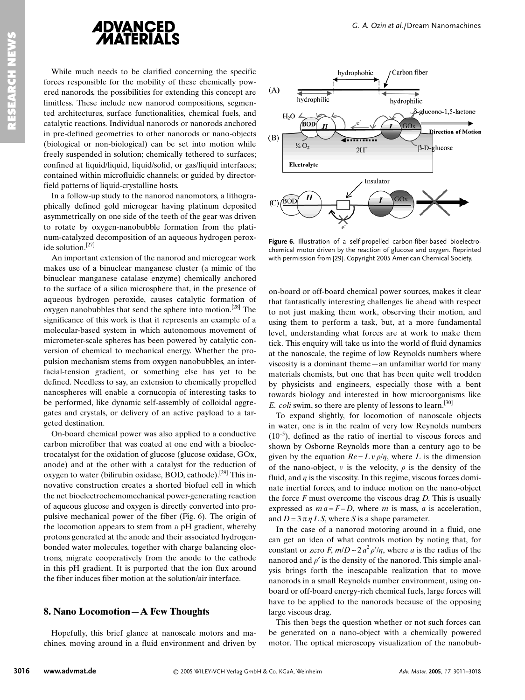

While much needs to be clarified concerning the specific forces responsible for the mobility of these chemically powered nanorods, the possibilities for extending this concept are limitless. These include new nanorod compositions, segmented architectures, surface functionalities, chemical fuels, and catalytic reactions. Individual nanorods or nanorods anchored in pre-defined geometries to other nanorods or nano-objects (biological or non-biological) can be set into motion while freely suspended in solution; chemically tethered to surfaces; confined at liquid/liquid, liquid/solid, or gas/liquid interfaces; contained within microfluidic channels; or guided by directorfield patterns of liquid-crystalline hosts.

In a follow-up study to the nanorod nanomotors, a lithographically defined gold microgear having platinum deposited asymmetrically on one side of the teeth of the gear was driven to rotate by oxygen-nanobubble formation from the platinum-catalyzed decomposition of an aqueous hydrogen peroxide solution.[27]

An important extension of the nanorod and microgear work makes use of a binuclear manganese cluster (a mimic of the binuclear manganese catalase enzyme) chemically anchored to the surface of a silica microsphere that, in the presence of aqueous hydrogen peroxide, causes catalytic formation of oxygen nanobubbles that send the sphere into motion.[28] The significance of this work is that it represents an example of a molecular-based system in which autonomous movement of micrometer-scale spheres has been powered by catalytic conversion of chemical to mechanical energy. Whether the propulsion mechanism stems from oxygen nanobubbles, an interfacial-tension gradient, or something else has yet to be defined. Needless to say, an extension to chemically propelled nanospheres will enable a cornucopia of interesting tasks to be performed, like dynamic self-assembly of colloidal aggregates and crystals, or delivery of an active payload to a targeted destination.

On-board chemical power was also applied to a conductive carbon microfiber that was coated at one end with a bioelectrocatalyst for the oxidation of glucose (glucose oxidase, GOx, anode) and at the other with a catalyst for the reduction of oxygen to water (bilirubin oxidase, BOD, cathode).[29] This innovative construction creates a shorted biofuel cell in which the net bioelectrochemomechanical power-generating reaction of aqueous glucose and oxygen is directly converted into propulsive mechanical power of the fiber (Fig. 6). The origin of the locomotion appears to stem from a pH gradient, whereby protons generated at the anode and their associated hydrogenbonded water molecules, together with charge balancing electrons, migrate cooperatively from the anode to the cathode in this pH gradient. It is purported that the ion flux around the fiber induces fiber motion at the solution/air interface.

#### **8. Nano Locomotion—A Few Thoughts**

Hopefully, this brief glance at nanoscale motors and machines, moving around in a fluid environment and driven by



**Figure 6.** Illustration of a self-propelled carbon-fiber-based bioelectrochemical motor driven by the reaction of glucose and oxygen. Reprinted with permission from [29]. Copyright 2005 American Chemical Society.

on-board or off-board chemical power sources, makes it clear that fantastically interesting challenges lie ahead with respect to not just making them work, observing their motion, and using them to perform a task, but, at a more fundamental level, understanding what forces are at work to make them tick. This enquiry will take us into the world of fluid dynamics at the nanoscale, the regime of low Reynolds numbers where viscosity is a dominant theme—an unfamiliar world for many materials chemists, but one that has been quite well trodden by physicists and engineers, especially those with a bent towards biology and interested in how microorganisms like *E. coli* swim, so there are plenty of lessons to learn.[30]

To expand slightly, for locomotion of nanoscale objects in water, one is in the realm of very low Reynolds numbers  $(10^{-5})$ , defined as the ratio of inertial to viscous forces and shown by Osborne Reynolds more than a century ago to be given by the equation  $Re = L v \rho / \eta$ , where *L* is the dimension of the nano-object,  $\nu$  is the velocity,  $\rho$  is the density of the fluid, and  $\eta$  is the viscosity. In this regime, viscous forces dominate inertial forces, and to induce motion on the nano-object the force *F* must overcome the viscous drag *D*. This is usually expressed as  $ma = F - D$ , where *m* is mass, *a* is acceleration, and  $D = 3 \pi \eta L S$ , where *S* is a shape parameter.

In the case of a nanorod motoring around in a fluid, one can get an idea of what controls motion by noting that, for constant or zero *F*,  $m/D \sim 2 a^2 \rho'/\eta$ , where *a* is the radius of the nanorod and  $\rho'$  is the density of the nanorod. This simple analysis brings forth the inescapable realization that to move nanorods in a small Reynolds number environment, using onboard or off-board energy-rich chemical fuels, large forces will have to be applied to the nanorods because of the opposing large viscous drag.

This then begs the question whether or not such forces can be generated on a nano-object with a chemically powered motor. The optical microscopy visualization of the nanobub-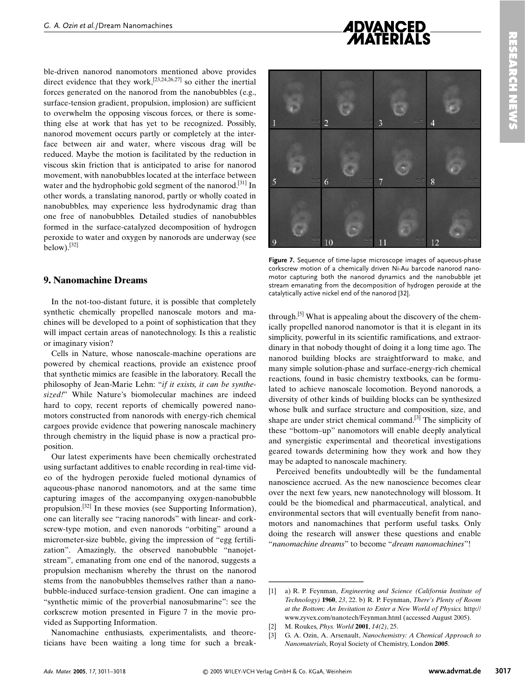

ble-driven nanorod nanomotors mentioned above provides direct evidence that they work,<sup>[23,24,26,27]</sup> so either the inertial forces generated on the nanorod from the nanobubbles (e.g., surface-tension gradient, propulsion, implosion) are sufficient to overwhelm the opposing viscous forces, or there is something else at work that has yet to be recognized. Possibly, nanorod movement occurs partly or completely at the interface between air and water, where viscous drag will be reduced. Maybe the motion is facilitated by the reduction in viscous skin friction that is anticipated to arise for nanorod movement, with nanobubbles located at the interface between water and the hydrophobic gold segment of the nanorod.<sup>[31]</sup> In other words, a translating nanorod, partly or wholly coated in nanobubbles, may experience less hydrodynamic drag than one free of nanobubbles. Detailed studies of nanobubbles formed in the surface-catalyzed decomposition of hydrogen peroxide to water and oxygen by nanorods are underway (see  $below$ ).<sup>[32]</sup>

#### **9. Nanomachine Dreams**

In the not-too-distant future, it is possible that completely synthetic chemically propelled nanoscale motors and machines will be developed to a point of sophistication that they will impact certain areas of nanotechnology. Is this a realistic or imaginary vision?

Cells in Nature, whose nanoscale-machine operations are powered by chemical reactions, provide an existence proof that synthetic mimics are feasible in the laboratory. Recall the philosophy of Jean-Marie Lehn: "*if it exists, it can be synthesized!*" While Nature's biomolecular machines are indeed hard to copy, recent reports of chemically powered nanomotors constructed from nanorods with energy-rich chemical cargoes provide evidence that powering nanoscale machinery through chemistry in the liquid phase is now a practical proposition.

Our latest experiments have been chemically orchestrated using surfactant additives to enable recording in real-time video of the hydrogen peroxide fueled motional dynamics of aqueous-phase nanorod nanomotors, and at the same time capturing images of the accompanying oxygen-nanobubble propulsion.[32] In these movies (see Supporting Information), one can literally see "racing nanorods" with linear- and corkscrew-type motion, and even nanorods "orbiting" around a micrometer-size bubble, giving the impression of "egg fertilization". Amazingly, the observed nanobubble "nanojetstream", emanating from one end of the nanorod, suggests a propulsion mechanism whereby the thrust on the nanorod stems from the nanobubbles themselves rather than a nanobubble-induced surface-tension gradient. One can imagine a "synthetic mimic of the proverbial nanosubmarine": see the corkscrew motion presented in Figure 7 in the movie provided as Supporting Information.

Nanomachine enthusiasts, experimentalists, and theoreticians have been waiting a long time for such a break-



**Figure 7.** Sequence of time-lapse microscope images of aqueous-phase corkscrew motion of a chemically driven Ni-Au barcode nanorod nanomotor capturing both the nanorod dynamics and the nanobubble jet stream emanating from the decomposition of hydrogen peroxide at the catalytically active nickel end of the nanorod [32].

through.[5] What is appealing about the discovery of the chemically propelled nanorod nanomotor is that it is elegant in its simplicity, powerful in its scientific ramifications, and extraordinary in that nobody thought of doing it a long time ago. The nanorod building blocks are straightforward to make, and many simple solution-phase and surface-energy-rich chemical reactions, found in basic chemistry textbooks, can be formulated to achieve nanoscale locomotion. Beyond nanorods, a diversity of other kinds of building blocks can be synthesized whose bulk and surface structure and composition, size, and shape are under strict chemical command.<sup>[3]</sup> The simplicity of these "bottom–up" nanomotors will enable deeply analytical and synergistic experimental and theoretical investigations geared towards determining how they work and how they may be adapted to nanoscale machinery.

Perceived benefits undoubtedly will be the fundamental nanoscience accrued. As the new nanoscience becomes clear over the next few years, new nanotechnology will blossom. It could be the biomedical and pharmaceutical, analytical, and environmental sectors that will eventually benefit from nanomotors and nanomachines that perform useful tasks. Only doing the research will answer these questions and enable "*nanomachine dreams*" to become "*dream nanomachines*"! and syncretistic experiment<br>geared towards determinin<br>may be adapted to nanoscal<br>Perceived benefits undo<br>nanoscience accrued. As th<br>over the next few years, ne<br>could be the biomedical an<br>environmental sectors that<br>motors a

[2] M. Roukes, *Phys. World* **2001**, *14(2)*, 25.

<sup>[1]</sup> a) R. P. Feynman, *Engineering and Science (California Institute of Technology)* **1960**, *23*, 22. b) R. P. Feynman, *There's Plenty of Room at the Bottom: An Invitation to Enter a New World of Physics.* http:// www.zyvex.com/nanotech/Feynman.html (accessed August 2005).

<sup>[3]</sup> G. A. Ozin, A. Arsenault, *Nanochemistry: A Chemical Approach to Nanomaterials*, Royal Society of Chemistry, London **2005**.